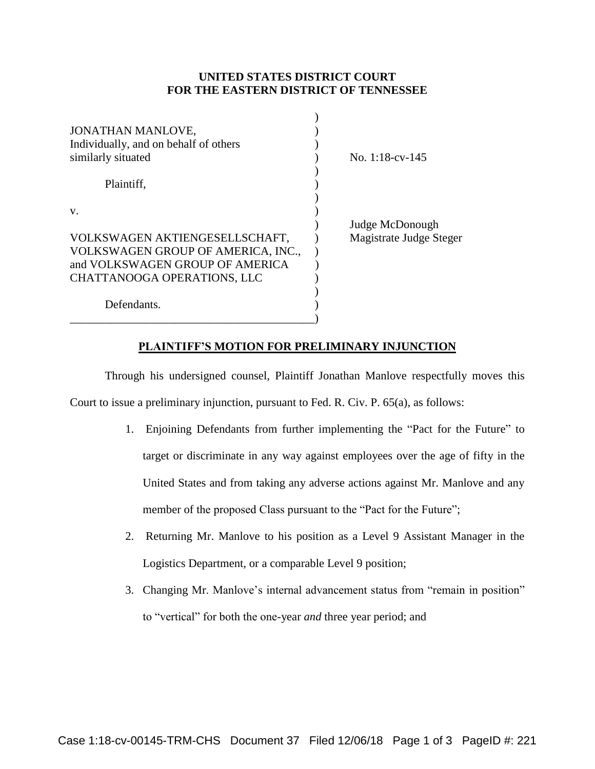## **UNITED STATES DISTRICT COURT FOR THE EASTERN DISTRICT OF TENNESSEE**

 $\Delta$ 

| <b>JONATHAN MANLOVE,</b><br>Individually, and on behalf of others<br>similarly situated | No. $1:18$ -cv- $145$   |
|-----------------------------------------------------------------------------------------|-------------------------|
| Plaintiff,                                                                              |                         |
| V.                                                                                      |                         |
|                                                                                         | Judge McDonough         |
| VOLKSWAGEN AKTIENGESELLSCHAFT,                                                          | Magistrate Judge Steger |
| VOLKSWAGEN GROUP OF AMERICA, INC.,                                                      |                         |
| and VOLKSWAGEN GROUP OF AMERICA                                                         |                         |
| CHATTANOOGA OPERATIONS, LLC                                                             |                         |
| Defendants.                                                                             |                         |

## **PLAINTIFF'S MOTION FOR PRELIMINARY INJUNCTION**

Through his undersigned counsel, Plaintiff Jonathan Manlove respectfully moves this Court to issue a preliminary injunction, pursuant to Fed. R. Civ. P. 65(a), as follows:

- 1. Enjoining Defendants from further implementing the "Pact for the Future" to target or discriminate in any way against employees over the age of fifty in the United States and from taking any adverse actions against Mr. Manlove and any member of the proposed Class pursuant to the "Pact for the Future";
- 2. Returning Mr. Manlove to his position as a Level 9 Assistant Manager in the Logistics Department, or a comparable Level 9 position;
- 3. Changing Mr. Manlove's internal advancement status from "remain in position" to "vertical" for both the one-year *and* three year period; and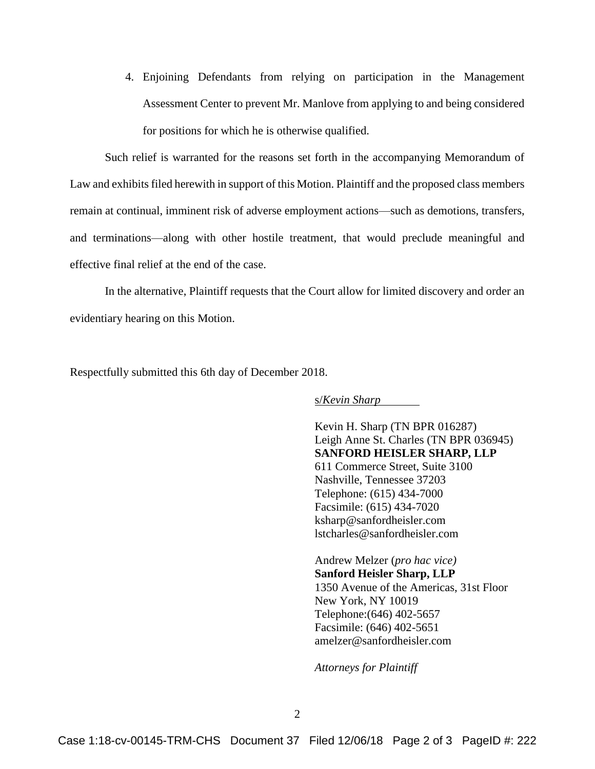4. Enjoining Defendants from relying on participation in the Management Assessment Center to prevent Mr. Manlove from applying to and being considered for positions for which he is otherwise qualified.

Such relief is warranted for the reasons set forth in the accompanying Memorandum of Law and exhibits filed herewith in support of this Motion. Plaintiff and the proposed class members remain at continual, imminent risk of adverse employment actions—such as demotions, transfers, and terminations—along with other hostile treatment, that would preclude meaningful and effective final relief at the end of the case.

In the alternative, Plaintiff requests that the Court allow for limited discovery and order an evidentiary hearing on this Motion.

Respectfully submitted this 6th day of December 2018.

s/*Kevin Sharp*

Kevin H. Sharp (TN BPR 016287) Leigh Anne St. Charles (TN BPR 036945) **SANFORD HEISLER SHARP, LLP** 611 Commerce Street, Suite 3100 Nashville, Tennessee 37203 Telephone: (615) 434-7000 Facsimile: (615) 434-7020 ksharp@sanfordheisler.com lstcharles@sanfordheisler.com

Andrew Melzer (*pro hac vice)* **Sanford Heisler Sharp, LLP** 1350 Avenue of the Americas, 31st Floor New York, NY 10019 Telephone:(646) 402-5657 Facsimile: (646) 402-5651 amelzer@sanfordheisler.com

*Attorneys for Plaintiff*